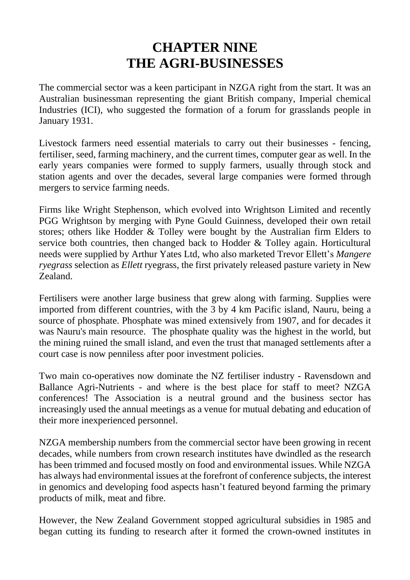# **CHAPTER NINE THE AGRI-BUSINESSES**

The commercial sector was a keen participant in NZGA right from the start. It was an Australian businessman representing the giant British company, Imperial chemical Industries (ICI), who suggested the formation of a forum for grasslands people in January 1931.

Livestock farmers need essential materials to carry out their businesses - fencing, fertiliser, seed, farming machinery, and the current times, computer gear as well. In the early years companies were formed to supply farmers, usually through stock and station agents and over the decades, several large companies were formed through mergers to service farming needs.

Firms like Wright Stephenson, which evolved into Wrightson Limited and recently PGG Wrightson by merging with Pyne Gould Guinness, developed their own retail stores; others like Hodder & Tolley were bought by the Australian firm Elders to service both countries, then changed back to Hodder & Tolley again. Horticultural needs were supplied by Arthur Yates Ltd, who also marketed Trevor Ellett's *Mangere ryegrass* selection as *Ellett* ryegrass, the first privately released pasture variety in New Zealand.

Fertilisers were another large business that grew along with farming. Supplies were imported from different countries, with the 3 by 4 km Pacific island, Nauru, being a source of phosphate. Phosphate was mined extensively from 1907, and for decades it was Nauru's main resource. The phosphate quality was the highest in the world, but the mining ruined the small island, and even the trust that managed settlements after a court case is now penniless after poor investment policies.

Two main co-operatives now dominate the NZ fertiliser industry - Ravensdown and Ballance Agri-Nutrients - and where is the best place for staff to meet? NZGA conferences! The Association is a neutral ground and the business sector has increasingly used the annual meetings as a venue for mutual debating and education of their more inexperienced personnel.

NZGA membership numbers from the commercial sector have been growing in recent decades, while numbers from crown research institutes have dwindled as the research has been trimmed and focused mostly on food and environmental issues. While NZGA has always had environmental issues at the forefront of conference subjects, the interest in genomics and developing food aspects hasn't featured beyond farming the primary products of milk, meat and fibre.

However, the New Zealand Government stopped agricultural subsidies in 1985 and began cutting its funding to research after it formed the crown-owned institutes in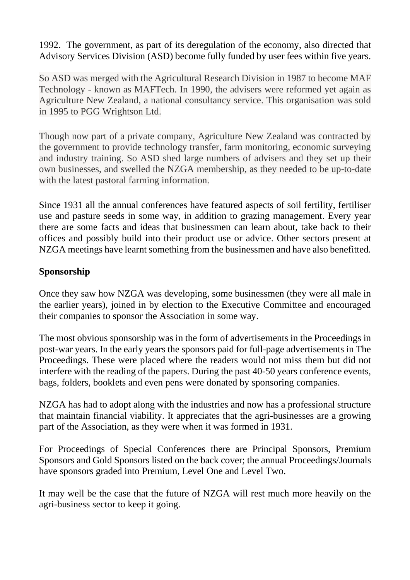1992. The government, as part of its deregulation of the economy, also directed that Advisory Services Division (ASD) become fully funded by user fees within five years.

So ASD was merged with the Agricultural Research Division in 1987 to become MAF Technology - known as MAFTech. In 1990, the advisers were reformed yet again as Agriculture New Zealand, a national consultancy service. This organisation was sold in 1995 to PGG Wrightson Ltd.

Though now part of a private company, Agriculture New Zealand was contracted by the government to provide technology transfer, farm monitoring, economic surveying and industry training. So ASD shed large numbers of advisers and they set up their own businesses, and swelled the NZGA membership, as they needed to be up-to-date with the latest pastoral farming information.

Since 1931 all the annual conferences have featured aspects of soil fertility, fertiliser use and pasture seeds in some way, in addition to grazing management. Every year there are some facts and ideas that businessmen can learn about, take back to their offices and possibly build into their product use or advice. Other sectors present at NZGA meetings have learnt something from the businessmen and have also benefitted.

## **Sponsorship**

Once they saw how NZGA was developing, some businessmen (they were all male in the earlier years), joined in by election to the Executive Committee and encouraged their companies to sponsor the Association in some way.

The most obvious sponsorship was in the form of advertisements in the Proceedings in post-war years. In the early years the sponsors paid for full-page advertisements in The Proceedings. These were placed where the readers would not miss them but did not interfere with the reading of the papers. During the past 40-50 years conference events, bags, folders, booklets and even pens were donated by sponsoring companies.

NZGA has had to adopt along with the industries and now has a professional structure that maintain financial viability. It appreciates that the agri-businesses are a growing part of the Association, as they were when it was formed in 1931.

For Proceedings of Special Conferences there are Principal Sponsors, Premium Sponsors and Gold Sponsors listed on the back cover; the annual Proceedings/Journals have sponsors graded into Premium, Level One and Level Two.

It may well be the case that the future of NZGA will rest much more heavily on the agri-business sector to keep it going.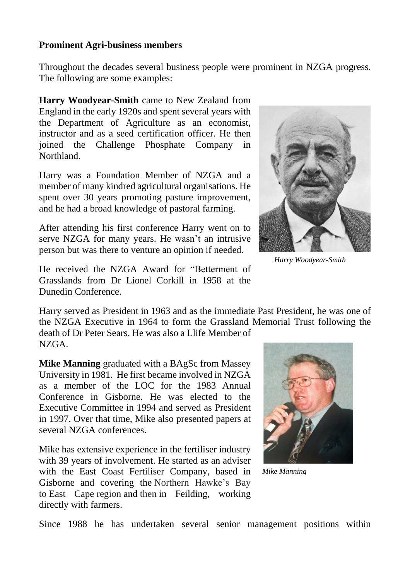#### **Prominent Agri-business members**

Throughout the decades several business people were prominent in NZGA progress. The following are some examples:

**Harry Woodyear-Smith** came to New Zealand from England in the early 1920s and spent several years with the Department of Agriculture as an economist, instructor and as a seed certification officer. He then joined the Challenge Phosphate Company in Northland.

Harry was a Foundation Member of NZGA and a member of many kindred agricultural organisations. He spent over 30 years promoting pasture improvement, and he had a broad knowledge of pastoral farming.

After attending his first conference Harry went on to serve NZGA for many years. He wasn't an intrusive person but was there to venture an opinion if needed.

He received the NZGA Award for "Betterment of Grasslands from Dr Lionel Corkill in 1958 at the Dunedin Conference.

Harry served as President in 1963 and as the immediate Past President, he was one of the NZGA Executive in 1964 to form the Grassland Memorial Trust following the death of Dr Peter Sears. He was also a Llife Member of NZGA.

**Mike Manning** graduated with a BAgSc from Massey University in 1981. He first became involved in NZGA as a member of the LOC for the 1983 Annual Conference in Gisborne. He was elected to the Executive Committee in 1994 and served as President in 1997. Over that time, Mike also presented papers at several NZGA conferences.

Mike has extensive experience in the fertiliser industry with 39 years of involvement. He started as an adviser with the East Coast Fertiliser Company, based in Gisborne and covering the Northern Hawke's Bay to East Cape region and then in Feilding, working directly with farmers.



*Mike Manning*



*Harry Woodyear-Smith*

Since 1988 he has undertaken several senior management positions within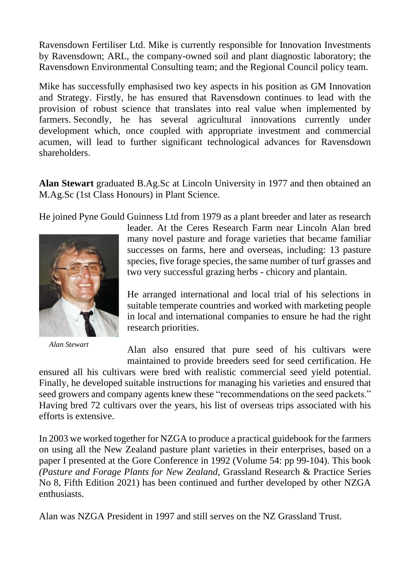Ravensdown Fertiliser Ltd. Mike is currently responsible for Innovation Investments by Ravensdown; ARL, the company-owned soil and plant diagnostic laboratory; the Ravensdown Environmental Consulting team; and the Regional Council policy team.

Mike has successfully emphasised two key aspects in his position as GM Innovation and Strategy. Firstly, he has ensured that Ravensdown continues to lead with the provision of robust science that translates into real value when implemented by farmers. Secondly, he has several agricultural innovations currently under development which, once coupled with appropriate investment and commercial acumen, will lead to further significant technological advances for Ravensdown shareholders.

**Alan Stewart** graduated B.Ag.Sc at Lincoln University in 1977 and then obtained an M.Ag.Sc (1st Class Honours) in Plant Science.

He joined Pyne Gould Guinness Ltd from 1979 as a plant breeder and later as research



*Alan Stewart*

leader. At the Ceres Research Farm near Lincoln Alan bred many novel pasture and forage varieties that became familiar successes on farms, here and overseas, including: 13 pasture species, five forage species, the same number of turf grasses and two very successful grazing herbs - chicory and plantain.

He arranged international and local trial of his selections in suitable temperate countries and worked with marketing people in local and international companies to ensure he had the right research priorities.

Alan also ensured that pure seed of his cultivars were maintained to provide breeders seed for seed certification. He

ensured all his cultivars were bred with realistic commercial seed yield potential. Finally, he developed suitable instructions for managing his varieties and ensured that seed growers and company agents knew these "recommendations on the seed packets." Having bred 72 cultivars over the years, his list of overseas trips associated with his efforts is extensive.

In 2003 we worked together for NZGA to produce a practical guidebook for the farmers on using all the New Zealand pasture plant varieties in their enterprises, based on a paper I presented at the Gore Conference in 1992 (Volume 54: pp 99-104). This book *(Pasture and Forage Plants for New Zealand*, Grassland Research & Practice Series No 8, Fifth Edition 2021) has been continued and further developed by other NZGA enthusiasts.

Alan was NZGA President in 1997 and still serves on the NZ Grassland Trust.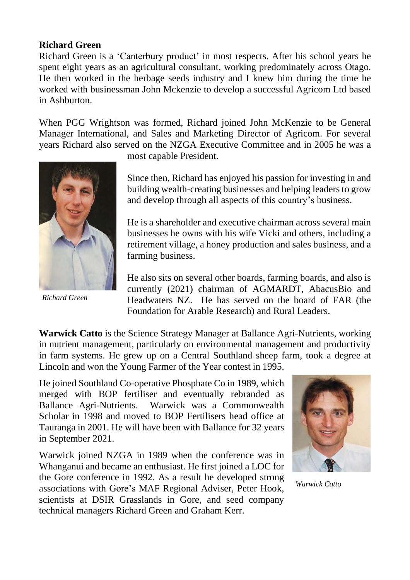### **Richard Green**

Richard Green is a 'Canterbury product' in most respects. After his school years he spent eight years as an agricultural consultant, working predominately across Otago. He then worked in the herbage seeds industry and I knew him during the time he worked with businessman John Mckenzie to develop a successful Agricom Ltd based in Ashburton.

When PGG Wrightson was formed, Richard joined John McKenzie to be General Manager International, and Sales and Marketing Director of Agricom. For several years Richard also served on the NZGA Executive Committee and in 2005 he was a



*Richard Green*

most capable President.

Since then, Richard has enjoyed his passion for investing in and building wealth-creating businesses and helping leaders to grow and develop through all aspects of this country's business.

He is a shareholder and executive chairman across several main businesses he owns with his wife Vicki and others, including a retirement village, a honey production and sales business, and a farming business.

He also sits on several other boards, farming boards, and also is currently (2021) chairman of AGMARDT, AbacusBio and Headwaters NZ. He has served on the board of FAR (the Foundation for Arable Research) and Rural Leaders.

**Warwick Catto** is the Science Strategy Manager at Ballance Agri-Nutrients, working in nutrient management, particularly on environmental management and productivity in farm systems. He grew up on a Central Southland sheep farm, took a degree at Lincoln and won the Young Farmer of the Year contest in 1995.

He joined Southland Co-operative Phosphate Co in 1989, which merged with BOP fertiliser and eventually rebranded as Ballance Agri-Nutrients. Warwick was a Commonwealth Scholar in 1998 and moved to BOP Fertilisers head office at Tauranga in 2001. He will have been with Ballance for 32 years in September 2021.

Warwick joined NZGA in 1989 when the conference was in Whanganui and became an enthusiast. He first joined a LOC for the Gore conference in 1992. As a result he developed strong associations with Gore's MAF Regional Adviser, Peter Hook, scientists at DSIR Grasslands in Gore, and seed company technical managers Richard Green and Graham Kerr.



*Warwick Catto*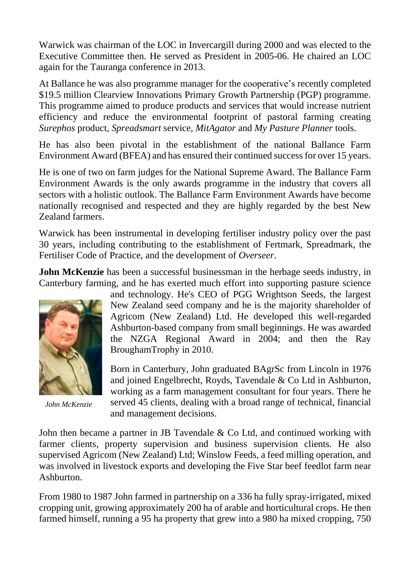Warwick was chairman of the LOC in Invercargill during 2000 and was elected to the Executive Committee then. He served as President in 2005-06. He chaired an LOC again for the Tauranga conference in 2013.

At Ballance he was also programme manager for the cooperative's recently completed \$19.5 million Clearview Innovations Primary Growth Partnership (PGP) programme. This programme aimed to produce products and services that would increase nutrient efficiency and reduce the environmental footprint of pastoral farming creating *Surephos* product, *Spreadsmart* service, *MitAgator* and *My Pasture Planner* tools.

He has also been pivotal in the establishment of the national Ballance Farm Environment Award (BFEA) and has ensured their continued success for over 15 years.

He is one of two on farm judges for the National Supreme Award. The Ballance Farm Environment Awards is the only awards programme in the industry that covers all sectors with a holistic outlook. The Ballance Farm Environment Awards have become nationally recognised and respected and they are highly regarded by the best New Zealand farmers.

Warwick has been instrumental in developing fertiliser industry policy over the past 30 years, including contributing to the establishment of Fertmark, Spreadmark, the Fertiliser Code of Practice, and the development of *Overseer*.

**John McKenzie** has been a successful businessman in the herbage seeds industry, in Canterbury farming, and he has exerted much effort into supporting pasture science



*John McKenzie*

and technology. He's CEO of PGG Wrightson Seeds, the largest New Zealand seed company and he is the majority shareholder of Agricom (New Zealand) Ltd. He developed this well-regarded Ashburton-based company from small beginnings. He was awarded the NZGA Regional Award in 2004; and then the Ray BroughamTrophy in 2010.

Born in Canterbury, John graduated BAgrSc from Lincoln in 1976 and joined Engelbrecht, Royds, Tavendale & Co Ltd in Ashburton, working as a farm management consultant for four years. There he served 45 clients, dealing with a broad range of technical, financial and management decisions.

John then became a partner in JB Tavendale & Co Ltd, and continued working with farmer clients, property supervision and business supervision clients. He also supervised Agricom (New Zealand) Ltd; Winslow Feeds, a feed milling operation, and was involved in livestock exports and developing the Five Star beef feedlot farm near Ashburton.

From 1980 to 1987 John farmed in partnership on a 336 ha fully spray-irrigated, mixed cropping unit, growing approximately 200 ha of arable and horticultural crops. He then farmed himself, running a 95 ha property that grew into a 980 ha mixed cropping, 750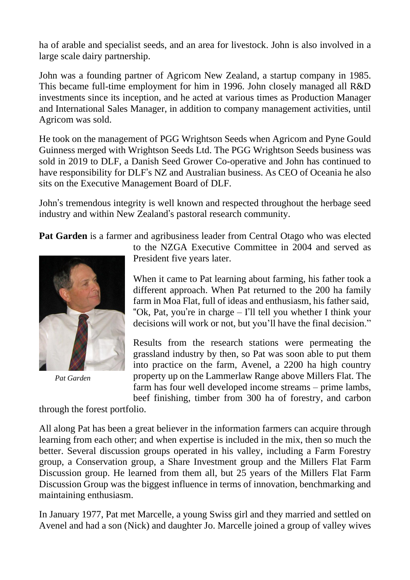ha of arable and specialist seeds, and an area for livestock. John is also involved in a large scale dairy partnership.

John was a founding partner of Agricom New Zealand, a startup company in 1985. This became full-time employment for him in 1996. John closely managed all R&D investments since its inception, and he acted at various times as Production Manager and International Sales Manager, in addition to company management activities, until Agricom was sold.

He took on the management of PGG Wrightson Seeds when Agricom and Pyne Gould Guinness merged with Wrightson Seeds Ltd. The PGG Wrightson Seeds business was sold in 2019 to DLF, a Danish Seed Grower Co-operative and John has continued to have responsibility for DLF's NZ and Australian business. As CEO of Oceania he also sits on the Executive Management Board of DLF.

John's tremendous integrity is well known and respected throughout the herbage seed industry and within New Zealand's pastoral research community.

**Pat Garden** is a farmer and agribusiness leader from Central Otago who was elected



*Pat Garden*

to the NZGA Executive Committee in 2004 and served as President five years later.

When it came to Pat learning about farming, his father took a different approach. When Pat returned to the 200 ha family farm in Moa Flat, full of ideas and enthusiasm, his father said, "Ok, Pat, you're in charge – I'll tell you whether I think your decisions will work or not, but you'll have the final decision."

Results from the research stations were permeating the grassland industry by then, so Pat was soon able to put them into practice on the farm, Avenel, a 2200 ha high country property up on the Lammerlaw Range above Millers Flat. The farm has four well developed income streams – prime lambs, beef finishing, timber from 300 ha of forestry, and carbon

through the forest portfolio.

All along Pat has been a great believer in the information farmers can acquire through learning from each other; and when expertise is included in the mix, then so much the better. Several discussion groups operated in his valley, including a Farm Forestry group, a Conservation group, a Share Investment group and the Millers Flat Farm Discussion group. He learned from them all, but 25 years of the Millers Flat Farm Discussion Group was the biggest influence in terms of innovation, benchmarking and maintaining enthusiasm.

In January 1977, Pat met Marcelle, a young Swiss girl and they married and settled on Avenel and had a son (Nick) and daughter Jo. Marcelle joined a group of valley wives